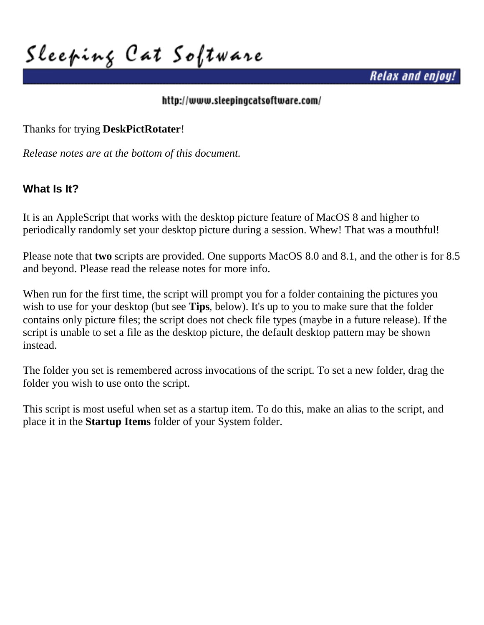**Sleeping Cat Software**

*Relax and enjoy!*

#### <http://www.sleepingcatsoftware.com/>

Thanks for trying **DeskPictRotater**!

*Release notes are at the bottom of this document.*

### **What Is It?**

It is an AppleScript that works with the desktop picture feature of MacOS 8 and higher to periodically randomly set your desktop picture during a session. Whew! That was a mouthful!

Please note that **two** scripts are provided. One supports MacOS 8.0 and 8.1, and the other is for 8.5 and beyond. Please read the release notes for more info.

When run for the first time, the script will prompt you for a folder containing the pictures you wish to use for your desktop (but see **Tips**, below). It's up to you to make sure that the folder contains only picture files; the script does not check file types (maybe in a future release). If the script is unable to set a file as the desktop picture, the default desktop pattern may be shown instead.

The folder you set is remembered across invocations of the script. To set a new folder, drag the folder you wish to use onto the script.

This script is most useful when set as a startup item. To do this, make an alias to the script, and place it in the **Startup Items** folder of your System folder.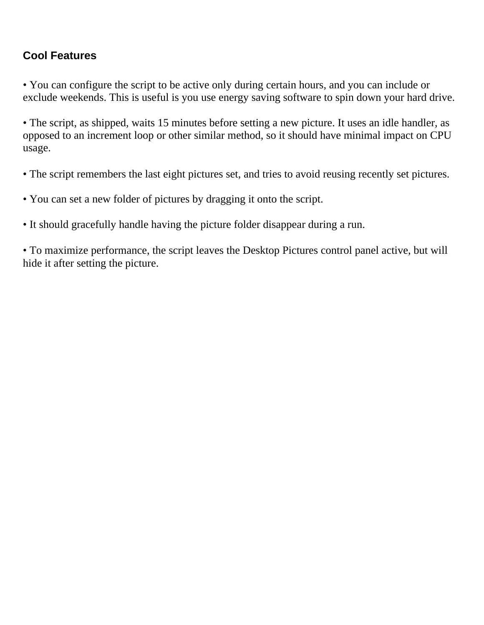## **Cool Features**

• You can configure the script to be active only during certain hours, and you can include or exclude weekends. This is useful is you use energy saving software to spin down your hard drive.

• The script, as shipped, waits 15 minutes before setting a new picture. It uses an idle handler, as opposed to an increment loop or other similar method, so it should have minimal impact on CPU usage.

• The script remembers the last eight pictures set, and tries to avoid reusing recently set pictures.

• You can set a new folder of pictures by dragging it onto the script.

• It should gracefully handle having the picture folder disappear during a run.

• To maximize performance, the script leaves the Desktop Pictures control panel active, but will hide it after setting the picture.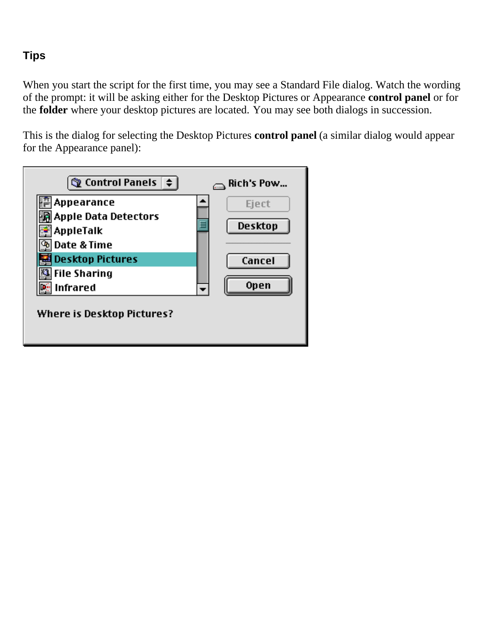# **Tips**

When you start the script for the first time, you may see a Standard File dialog. Watch the wording of the prompt: it will be asking either for the Desktop Pictures or Appearance **control panel** or for the **folder** where your desktop pictures are located. You may see both dialogs in succession.

This is the dialog for selecting the Desktop Pictures **control panel** (a similar dialog would appear for the Appearance panel):

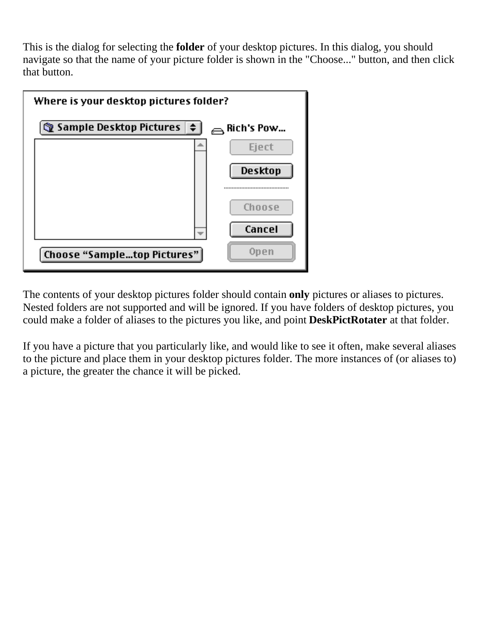This is the dialog for selecting the **folder** of your desktop pictures. In this dialog, you should navigate so that the name of your picture folder is shown in the "Choose..." button, and then click that button.



The contents of your desktop pictures folder should contain **only** pictures or aliases to pictures. Nested folders are not supported and will be ignored. If you have folders of desktop pictures, you could make a folder of aliases to the pictures you like, and point **DeskPictRotater** at that folder.

If you have a picture that you particularly like, and would like to see it often, make several aliases to the picture and place them in your desktop pictures folder. The more instances of (or aliases to) a picture, the greater the chance it will be picked.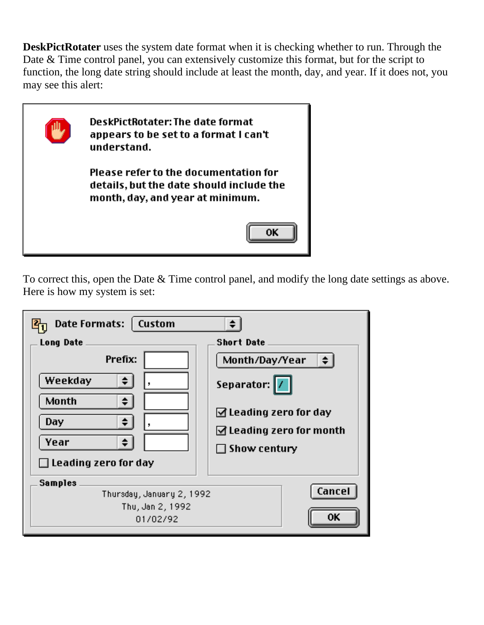**DeskPictRotater** uses the system date format when it is checking whether to run. Through the Date & Time control panel, you can extensively customize this format, but for the script to function, the long date string should include at least the month, day, and year. If it does not, you may see this alert:



To correct this, open the Date & Time control panel, and modify the long date settings as above. Here is how my system is set:

| <b>Date Formats:</b><br>  Custom<br><b>Long Date</b><br>Prefix:<br>Weekday<br>÷<br>Month<br>÷.<br>Day<br>≑<br>Year<br>$\Box$ Leading zero for day | <b>Short Date</b><br>Month/Day/Year<br>$\div$<br>Separator:  /<br>$\Box$ Leading zero for day<br>$\Box$ Leading zero for month<br>$\Box$ Show century |
|---------------------------------------------------------------------------------------------------------------------------------------------------|-------------------------------------------------------------------------------------------------------------------------------------------------------|
| <b>Samples</b><br>Thursday, January 2, 1992<br>Thu, Jan 2, 1992<br>01/02/92                                                                       | Cancel<br>OΚ                                                                                                                                          |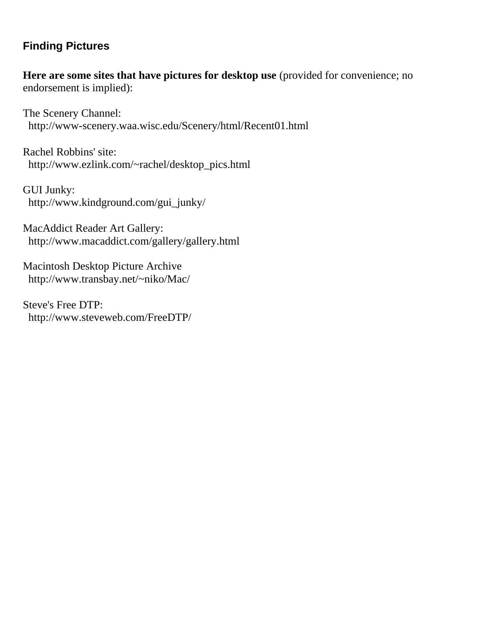### **Finding Pictures**

**Here are some sites that have pictures for desktop use** (provided for convenience; no endorsement is implied):

The Scenery Channel: <http://www-scenery.waa.wisc.edu/Scenery/html/Recent01.html>

Rachel Robbins' site: [http://www.ezlink.com/~rachel/desktop\\_pics.html](http://www.ezlink.com/~rachel/desktop_pics.html)

GUI Junky: [http://www.kindground.com/gui\\_junky/](http://www.kindground.com/gui_junky/)

MacAddict Reader Art Gallery: <http://www.macaddict.com/gallery/gallery.html>

Macintosh Desktop Picture Archive <http://www.transbay.net/~niko/Mac/>

Steve's Free DTP: <http://www.steveweb.com/FreeDTP/>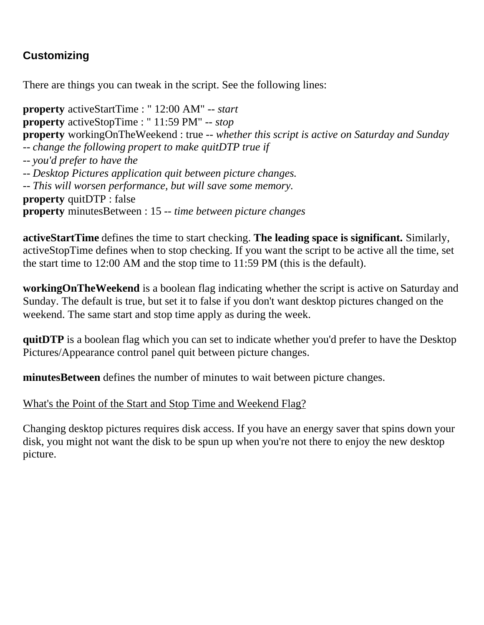# **Customizing**

There are things you can tweak in the script. See the following lines:

**property** activeStartTime : " 12:00 AM" -- *start* **property** activeStopTime : " 11:59 PM" -- *stop* **property** workingOnTheWeekend : true -- *whether this script is active on Saturday and Sunday* -- *change the following propert to make quitDTP true if* -- *you'd prefer to have the* -- *Desktop Pictures application quit between picture changes.* -- *This will worsen performance, but will save some memory.* **property** quitDTP : false **property** minutesBetween : 15 -- *time between picture changes*

**activeStartTime** defines the time to start checking. **The leading space is significant.** Similarly, activeStopTime defines when to stop checking. If you want the script to be active all the time, set the start time to 12:00 AM and the stop time to 11:59 PM (this is the default).

**workingOnTheWeekend** is a boolean flag indicating whether the script is active on Saturday and Sunday. The default is true, but set it to false if you don't want desktop pictures changed on the weekend. The same start and stop time apply as during the week.

**quitDTP** is a boolean flag which you can set to indicate whether you'd prefer to have the Desktop Pictures/Appearance control panel quit between picture changes.

**minutesBetween** defines the number of minutes to wait between picture changes.

What's the Point of the Start and Stop Time and Weekend Flag?

Changing desktop pictures requires disk access. If you have an energy saver that spins down your disk, you might not want the disk to be spun up when you're not there to enjoy the new desktop picture.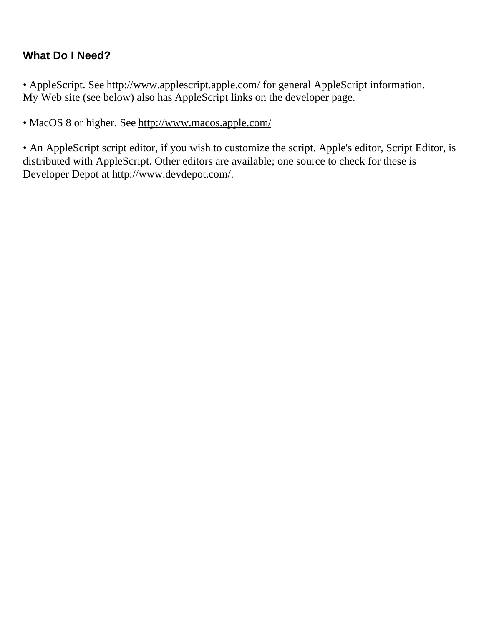# **What Do I Need?**

• AppleScript. See<http://www.applescript.apple.com/>for general AppleScript information. My Web site (see below) also has AppleScript links on the developer page.

• MacOS 8 or higher. See<http://www.macos.apple.com/>

• An AppleScript script editor, if you wish to customize the script. Apple's editor, Script Editor, is distributed with AppleScript. Other editors are available; one source to check for these is Developer Depot at http://www.devdepot.com/.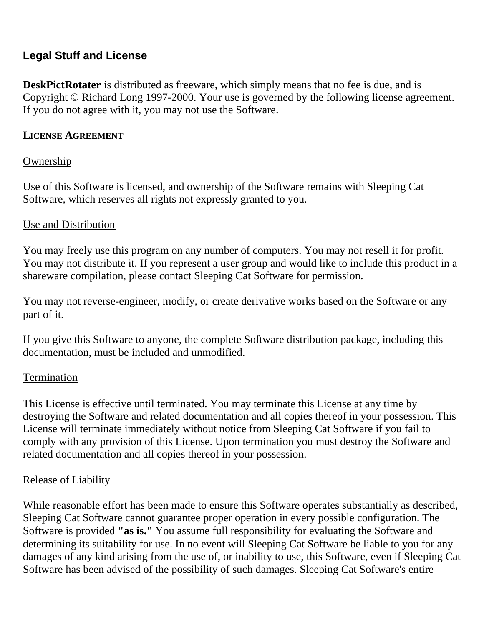## **Legal Stuff and License**

**DeskPictRotater** is distributed as freeware, which simply means that no fee is due, and is Copyright © Richard Long 1997-2000. Your use is governed by the following license agreement. If you do not agree with it, you may not use the Software.

#### **LICENSE AGREEMENT**

### Ownership

Use of this Software is licensed, and ownership of the Software remains with Sleeping Cat Software, which reserves all rights not expressly granted to you.

#### Use and Distribution

You may freely use this program on any number of computers. You may not resell it for profit. You may not distribute it. If you represent a user group and would like to include this product in a shareware compilation, please contact Sleeping Cat Software for permission.

You may not reverse-engineer, modify, or create derivative works based on the Software or any part of it.

If you give this Software to anyone, the complete Software distribution package, including this documentation, must be included and unmodified.

#### Termination

This License is effective until terminated. You may terminate this License at any time by destroying the Software and related documentation and all copies thereof in your possession. This License will terminate immediately without notice from Sleeping Cat Software if you fail to comply with any provision of this License. Upon termination you must destroy the Software and related documentation and all copies thereof in your possession.

### Release of Liability

While reasonable effort has been made to ensure this Software operates substantially as described, Sleeping Cat Software cannot guarantee proper operation in every possible configuration. The Software is provided **"as is."** You assume full responsibility for evaluating the Software and determining its suitability for use. In no event will Sleeping Cat Software be liable to you for any damages of any kind arising from the use of, or inability to use, this Software, even if Sleeping Cat Software has been advised of the possibility of such damages. Sleeping Cat Software's entire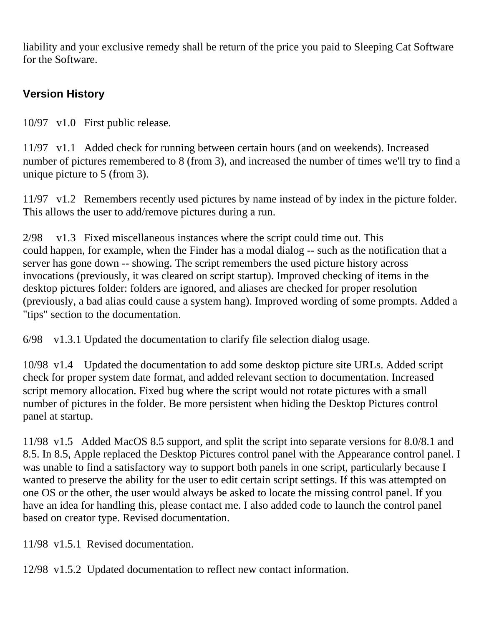liability and your exclusive remedy shall be return of the price you paid to Sleeping Cat Software for the Software.

# **Version History**

10/97 v1.0 First public release.

11/97 v1.1 Added check for running between certain hours (and on weekends). Increased number of pictures remembered to 8 (from 3), and increased the number of times we'll try to find a unique picture to 5 (from 3).

11/97 v1.2 Remembers recently used pictures by name instead of by index in the picture folder. This allows the user to add/remove pictures during a run.

2/98 v1.3 Fixed miscellaneous instances where the script could time out. This could happen, for example, when the Finder has a modal dialog -- such as the notification that a server has gone down -- showing. The script remembers the used picture history across invocations (previously, it was cleared on script startup). Improved checking of items in the desktop pictures folder: folders are ignored, and aliases are checked for proper resolution (previously, a bad alias could cause a system hang). Improved wording of some prompts. Added a "tips" section to the documentation.

6/98 v1.3.1 Updated the documentation to clarify file selection dialog usage.

10/98 v1.4 Updated the documentation to add some desktop picture site URLs. Added script check for proper system date format, and added relevant section to documentation. Increased script memory allocation. Fixed bug where the script would not rotate pictures with a small number of pictures in the folder. Be more persistent when hiding the Desktop Pictures control panel at startup.

11/98 v1.5 Added MacOS 8.5 support, and split the script into separate versions for 8.0/8.1 and 8.5. In 8.5, Apple replaced the Desktop Pictures control panel with the Appearance control panel. I was unable to find a satisfactory way to support both panels in one script, particularly because I wanted to preserve the ability for the user to edit certain script settings. If this was attempted on one OS or the other, the user would always be asked to locate the missing control panel. If you have an idea for handling this, please contact me. I also added code to launch the control panel based on creator type. Revised documentation.

11/98 v1.5.1 Revised documentation.

12/98 v1.5.2 Updated documentation to reflect new contact information.